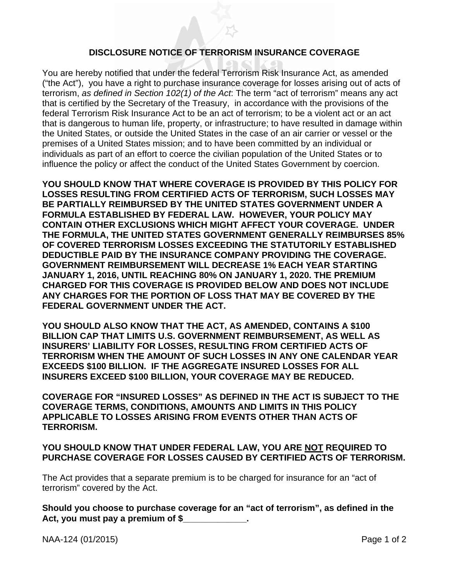## **DISCLOSURE NOTICE OF TERRORISM INSURANCE COVERAGE**

You are hereby notified that under the federal Terrorism Risk Insurance Act, as amended ("the Act"), you have a right to purchase insurance coverage for losses arising out of acts of terrorism, *as defined in Section 102(1) of the Act*: The term "act of terrorism" means any act that is certified by the Secretary of the Treasury, in accordance with the provisions of the federal Terrorism Risk Insurance Act to be an act of terrorism; to be a violent act or an act that is dangerous to human life, property, or infrastructure; to have resulted in damage within the United States, or outside the United States in the case of an air carrier or vessel or the premises of a United States mission; and to have been committed by an individual or individuals as part of an effort to coerce the civilian population of the United States or to influence the policy or affect the conduct of the United States Government by coercion.

**YOU SHOULD KNOW THAT WHERE COVERAGE IS PROVIDED BY THIS POLICY FOR LOSSES RESULTING FROM CERTIFIED ACTS OF TERRORISM, SUCH LOSSES MAY BE PARTIALLY REIMBURSED BY THE UNITED STATES GOVERNMENT UNDER A FORMULA ESTABLISHED BY FEDERAL LAW. HOWEVER, YOUR POLICY MAY CONTAIN OTHER EXCLUSIONS WHICH MIGHT AFFECT YOUR COVERAGE. UNDER THE FORMULA, THE UNITED STATES GOVERNMENT GENERALLY REIMBURSES 85% OF COVERED TERRORISM LOSSES EXCEEDING THE STATUTORILY ESTABLISHED DEDUCTIBLE PAID BY THE INSURANCE COMPANY PROVIDING THE COVERAGE. GOVERNMENT REIMBURSEMENT WILL DECREASE 1% EACH YEAR STARTING JANUARY 1, 2016, UNTIL REACHING 80% ON JANUARY 1, 2020. THE PREMIUM CHARGED FOR THIS COVERAGE IS PROVIDED BELOW AND DOES NOT INCLUDE ANY CHARGES FOR THE PORTION OF LOSS THAT MAY BE COVERED BY THE FEDERAL GOVERNMENT UNDER THE ACT.** 

**YOU SHOULD ALSO KNOW THAT THE ACT, AS AMENDED, CONTAINS A \$100 BILLION CAP THAT LIMITS U.S. GOVERNMENT REIMBURSEMENT, AS WELL AS INSURERS' LIABILITY FOR LOSSES, RESULTING FROM CERTIFIED ACTS OF TERRORISM WHEN THE AMOUNT OF SUCH LOSSES IN ANY ONE CALENDAR YEAR EXCEEDS \$100 BILLION. IF THE AGGREGATE INSURED LOSSES FOR ALL INSURERS EXCEED \$100 BILLION, YOUR COVERAGE MAY BE REDUCED.** 

**COVERAGE FOR "INSURED LOSSES" AS DEFINED IN THE ACT IS SUBJECT TO THE COVERAGE TERMS, CONDITIONS, AMOUNTS AND LIMITS IN THIS POLICY APPLICABLE TO LOSSES ARISING FROM EVENTS OTHER THAN ACTS OF TERRORISM.** 

## **YOU SHOULD KNOW THAT UNDER FEDERAL LAW, YOU ARE NOT REQUIRED TO PURCHASE COVERAGE FOR LOSSES CAUSED BY CERTIFIED ACTS OF TERRORISM.**

The Act provides that a separate premium is to be charged for insurance for an "act of terrorism" covered by the Act.

**Should you choose to purchase coverage for an "act of terrorism", as defined in the Act, you must pay a premium of \$\_\_\_\_\_\_\_\_\_\_\_\_\_.** 

NAA-124 (01/2015) Page 1 of 2